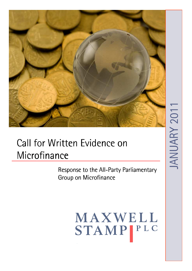

# Call for Written Evidence on Microfinance

Response to the All-Party Parliamentary Group on Microfinance

> MAXWELL STAMPIPLC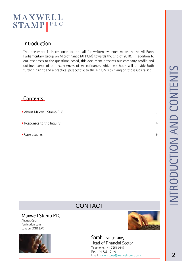### **Introduction**

This document is in response to the call for written evidence made by the All Party Parliamentary Group on Microfinance (APPGM) towards the end of 2010. In addition to our responses to the questions posed, this document presents our company profile and outlines some of our experiences of microfinance, which we hope will provide both further insight and a practical perspective to the APPGM's thinking on the issues raised.

### **Contents**

- **About Maxwell Stamp PLC** 3
- Responses to the Inquiry **4**
- Case Studies 9

## **CONTACT**

### Maxwell Stamp PLC

Abbot's Court Farringdon Lane London EC1R 3AX





### Sarah Livingstone,

Head of Financial Sector Telephone: +44 7251 0147 Fax: +44 7251 0140 Email: slivingstone@maxwellstamp.com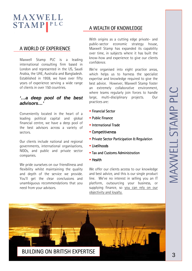### A WORLD OF EXPERIENCE

Maxwell Stamp PLC is a leading international consulting firm based in London and represented in the US, Saudi Arabia, the UAE, Australia and Bangladesh. Established in 1959, we have over fifty years of experience serving a wide range of clients in over 150 countries.

### **'…a deep pool of the best advisors…'**

Conveniently located in the heart of a leading political capital and global financial centre, we have a deep pool of the best advisors across a variety of sectors.

Our clients include national and regional governments, international organisations, NGOs, and public and private sector companies.

We pride ourselves on our friendliness and flexibility whilst maintaining the quality and depth of the service we provide. You'll get the clear conclusions and unambiguous recommendations that you need from your advisors.

### A WEALTH OF KNOWLEDGE

With origins as a cutting edge private- and public-sector economic strategy house, Maxwell Stamp has expanded its capability over time, in subjects where it has built the know-how and experience to give our clients confidence.

We're organised into eight practice areas, which helps us to harness the specialist expertise and knowledge required to give the best advice. However, Maxwell Stamp foster an extremely collaborative environment, where teams regularly join forces to handle large, multi-disciplinary projects. Our practices are:

- **Financial Sector**
- **Public Finance**
- **International Trade**
- **Competitiveness**
- **Private Sector Participation & Regulation**
- $\blacksquare$  Livelihoods
- **Tax and Customs Administration**
- $H$ ealth

We offer our clients access to our knowledge and best advice, and this is our single product line. We've no interest in selling you an IT platform, outsourcing your business, or supplying finance, so you can rely on our objectivity and loyalty.



BUILDING ON BRITISH EXPERTISE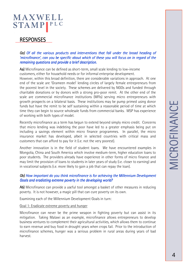### RESPONSES

#### *Qa) Of all the various products and interventions that fall under the broad heading of fall under heading of 'microfinance', can you be specific about which of these you will focus on in regard of the remaining questions and provide a brief description*.

Aa) Microfinance can be defined as short-term, small scale lending to low-income customers, either for household needs or for informal enterprise development.

However, within this broad definition, there are considerable variations in approach. At one end of the scale are 'Grameen model' lending circles of largely female entrepreneurs from the poorest level in the society. These schemes are delivered by NGOs and funded through charitable donations or by donors with a strong pro-poor remit. At the other end of the scale are commercial microfinance institutions (MFIs) serving micro entrepreneurs with growth prospects on a bilateral basis. These institutions may be pump primed using donor funds but have the remit to be self sustaining within a reasonable period of time at which time they can begin to source wholesale funds from commercial banks. MSP has experience of working with both types of model.

Recently microfinance as a term has begun to extend beyond simply micro credit. Concerns that micro lending was indebting the poor have led to a greater emphasis being put on including a savings element within micro finance programmes. In parallel, the micro insurance market has developed, albeit in selected countries with critical mass and customers that can afford to pay for it (i.e. not the very poorest).

Another innovation is in the field of student loans. We have encountered examples in Mongolia, China and South America which involve medium-term, higher education loans to poor students. The providers already have experience in other forms of micro finance and may limit the provision of loans to students in later years of study (i.e. closer to earning) and in vocational subjects (i.e. more likely to gain a job that can repay the loan).

#### *Qb)* How important do you think microfinance is for achieving the Millennium Development *Goals and eradiating extreme poverty in the developing world?*

Ab) Microfinance can provide a useful tool amongst a basket of other measures in reducing poverty. It is not however, a magic pill that can cure poverty on its own.

Examining each of the Millennium Development Goals in turn:

#### Goal 1: Eradicate extreme poverty and hunger

Microfinance can never be the prime weapon in fighting poverty but can assist in its mitigation. Taking Malawi as an example, microfinance allows entrepreneurs to develop business ventures to complement their agricultural activities, which allows them to continue to earn revenue and buy food in drought years when crops fail. Prior to the introduction of microfinance schemes, hunger was a serious problem in rural areas during years of bad harvest.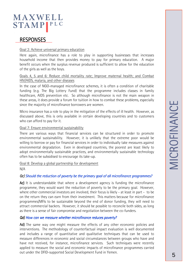### **RESPONSES**

#### Goal 2: Achieve universal primary education

Here again, microfinance has a role to play in supporting businesses that increases household income that then provides money to pay for primary education. A major benefit occurs when the surplus revenue produced is sufficient to allow for the education of the girls as well as the boys.

#### Goals 4, 5 and 6: Reduce child mortality rate; Improve maternal health; and Combat HIV/AIDS, malaria, and other diseases

In the case of NGO-managed microfinance schemes, it is often a condition of charitable funding (e.g. The Big Lottery Fund) that the programme includes classes in family healthcare, AIDS prevention etc. So although microfinance is not the main weapon in these areas, it does provide a forum for tuition in how to combat these problems, especially since the majority of microfinance borrowers are women.

Micro insurance has a role to play in the mitigation of the effects of ill health. However, as discussed above, this is only available in certain developing countries and to customers who can afford to pay for it.

#### Goal 7: Ensure environmental sustainability

There are various ways that financial services can be structured in order to promote environmental sustainability. However, it is unlikely that the extreme poor would be willing to borrow or pay for financial services in order to individually take measures against environmental degradation. Even in developed countries, the poorest are least likely to adopt environmentally sustainable practices, and environmentally sustainable technology often has to be subsidised to encourage its take-up.

Goal 8: Develop a global partnership for development

N/A

### *Qc) Should the reduction of poverty be the primary goal of all microfinance programmes? microfinance programmes?*

Ac) It is understandable that where a development agency is funding the microfinance programme, they would want the reduction of poverty to be the primary goal. However, where other commercial investors are involved, their focus is likely - at least in part - to be on the return they can earn from their investment. This matters because for microfinance programmes/MFIs to be sustainable beyond the end of donor funding, they will need to attract commercial backers. However, it should be possible to reconcile both sides, as long as there is a sense of fair compromise and negotiation between the co-funders.

#### *Qd) How can we measure whether microfinance reduces poverty?*

Ad) The same way one might measure the effects of any other economic policies and interventions. The methodology of counterfactual impact evaluation is well documented and includes a range of quantitative and qualitative techniques that can be used to measure differences in economic and social circumstances between groups who have and have not received, for instance, microfinance services. Such techniques were recently applied to measure the social and economic impacts of microfinance programmes carried out under the DFID-supported Social Development Fund in Yemen.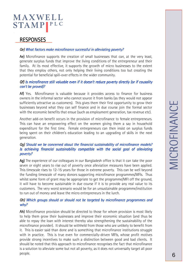### RESPONSES

#### *Qe) What factors make microfinance successful in alleviating poverty?*

Ae) Microfinance supports the creation of small businesses that can, at the very least, generate surplus funds that improve the living conditions of the entrepreneur and their family. At its most effective, it supports the growth of micro businesses to the extent that they employ others, not only helping their living conditions too but creating the potential for beneficial spill-over effects in the wider community.

#### *Qf) Is microfinance still valuable even if it doesn't reduce poverty directly (or if causality* can't be proved)?

Af) Yes. Microfinance is valuable because it provides access to finance for business owners in the informal sector who cannot source it from banks (as they would not appear sufficiently attractive as customers). This gives them their first opportunity to grow their businesses beyond what they can self finance and in due course join the formal sector with the economic benefits that ensue (such as employment generation, tax revenue etc).

Another add-on benefit occurs in the provision of microfinance to female entrepreneurs. This can have an empowering effect on the women giving them a say in household expenditure for the first time. Female entrepreneurs can then insist on surplus funds being spent on their children's education leading to an upgrading of skills in the next generation.

### *Qg) Should we be concerned about the financial sustainability of microfinance models? bility of microfinance models? Is achieving financial sustainability compatible with the social goal of alleviating poverty?*

Ag) The experience of our colleagues in our Bangladesh office is that it can take the poor seven or eight years to rise out of poverty once alleviation measures have been applied. This timescale rises to 12-15 years for those in extreme poverty. This can be well beyond the funding timescale of many donors supporting microfinance programmes/MFIs. Thus whilst some form of grant may be appropriate to get the programme/MFI off the ground, it will have to become sustainable in due course if it is to provide any real value to its customers. The very worst scenario would be for an unsustainable programme/institution to run out of money and leave the micro entrepreneurs in the lurch.

#### *Qh) Which groups should or should not be targeted by microfinance programmes and why?*

Ah) Microfinance provision should be directed to those for whom provision is most likely to help them grow their businesses and improve their economic situation (and thus be able to repay the loan with interest thereby also strengthening the sustainability of the microfinance provider). It should be withheld from those who are unlikely to benefit from it. This is easier said than done and is something that microfinance institutions struggle with in practice. This is true even for commercially-driven MFIs, whose profit motives provide strong incentives to make such a distinction between good and bad clients. It should be noted that this approach to microfinance recognises the fact that microfinance is a solution to alleviate some but not all poverty, as it does not universally target all poor people.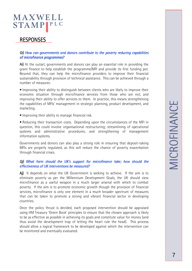### **RESPONSES**

#### *Qi)* How can governments and donors contribute to the poverty reducing capabilities *of microfinance programmes?*

Ai) At the outset, governments and donors can play an essential role in providing the grant finance to help establish the programme/MFI and provide its first funding pot. Beyond that, they can help the microfinance providers to improve their financial sustainability through provision of technical assistance. This can be achieved through a number of measures:

• Improving their ability to distinguish between clients who are likely to improve their economic situation through microfinance services from those who are not, and improving their ability to offer services to them. In practice, this means strengthening the capabilities of MFIs' management in strategic planning, product development, and marketing.

• Improving their ability to manage financial risk.

• Reducing their transaction costs. Depending upon the circumstances of the MFI in question, this could involve organisational restructuring; streamlining of operational systems and administrative procedures; and strengthening of management information systems.

Governments and donors can also play a strong role in ensuring that deposit-taking MFIs are properly regulated, as this will reduce the chance of poverty exacerbation through financial crises.

#### *Qj)* What form should the UK's support for microfinance take; how should the *effectiveness of UK interventions be measured?*

Aj) It depends on what the UK Government is seeking to achieve. If the aim is to eliminate poverty as per the Millennium Development Goals, the UK should view microfinance as a useful weapon in a much larger arsenal with which to combat poverty. If the aim is to promote economic growth though the provision of financial services, microfinance is only one element in a much broader spectrum of measures that can be taken to promote a strong and vibrant financial sector in developing countries.

Once the policy thrust is decided, each proposed intervention should be appraised using HM Treasury 'Green Book' principles to ensure that the chosen approach is likely to be as effective as possible in achieving its goals and constitute value for money (and thus avoid the development trap of letting the heart rule the head). This process should allow a logical framework to be developed against which the intervention can be monitored and eventually evaluated.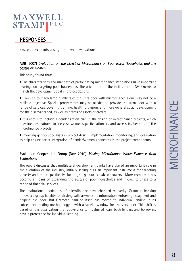# MAXWELL **STAMP**

### **RESPONSES**

Best practice points arising from recent evaluations:

### ADB (2007) *Evaluation on the Effect of Microfinance on Poor Rural Households and the ral Households Status of Women*

This study found that:

• The characteristics and mandate of participating microfinance institutions have important bearings on targeting poor households. The orientation of the institution or NGO needs to match the development goal in project designs.

• Planning to reach large numbers of the ultra poor with microfinance alone may not be a realistic objective. Special programmes may be needed to provide the ultra poor with a range of services, covering training, health provision, and more general social development for the disadvantaged, as well as grants of assets or credits.

• It is useful to include a gender action plan in the design of microfinance projects, which may include features to increase women's participation in, and access to, benefits of the microfinance projects.

• Involving gender specialists in project design, implementation, monitoring, and evaluation to help ensure better integration of gender/women's concerns in the project components.

### Evaluation Cooperation Group (Nov 2010) *Making Microfinance Work: Evidence from Evaluations*

The report discusses that multilateral development banks have played an important role in the evolution of the industry, initially seeing it as an important instrument for targeting poverty and, more specifically, for targeting poor female borrowers. More recently it has become a means of expanding the access of poor households and microenterprises to a range of financial services.

The institutional modalities of microfinance have changed markedly. Grameen banking innovated group liability for dealing with asymmetric information, enforcing repayment and helping the poor. But Grameen banking itself has moved to individual lending in its subsequent lending methodology – with a special window for the very poor. This shift is based on the observation that above a certain value of loan, both lenders and borrowers have a preference for individual lending.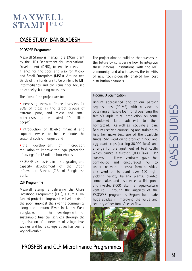### CASE STUDY: BANGLADESH

#### PROSPER Programme

Maxwell Stamp is managing a £40m grant by the UK's Department for International Development (DFID), to enable access to finance for the poor, and also for Microand Small-Enterprises (MSEs). Around two thirds of the funds are to be on-lent to MFI intermediaries and the remainder focused on capacity-building measures.

The aims of the project are to:

**Increasing access to financial services for** 20% of those in the target groups of extreme poor, and micro and small enterprises (an estimated 10 million people);

 introduction of flexible financial and support services to help eliminate the seasonal cycle of hunger; and

**the** development of microcredit regulation to improve the legal protection of savings for 15 million households.

PROSPER also assists in the upgrading and capacity development of the Credit Information Bureau (CIB) of Bangladesh Bank.

#### CLP Programme

Maxwell Stamp is delivering the Chars Livelihood Programme (CLP), a £9m DFIDfunded project to improve the livelihoods of the poor amongst the riverine community along the Jamuna River in North West Bangladesh. The development of sustainable financial services through the organisation of a network of village-level savings and loans co-operatives has been a key deliverable.

The project aims to build on that success in the future by considering how to integrate these informal institutions with the MFI community, and also to access the benefits of new technologically enabled low cost distribution channels.

#### Income Diversification

Begum approached one of our partner organisations (PRIME) with a view to obtaining a flexible loan for diversifying the family's agricultural production on some abandoned land adjacent to their homestead. As well as receiving a loan, Begum received counselling and training to help her make best use of the available funds. She went on to produce ginger and egg-plant crops (earning 30,000 Taka) ,and arrange for the agistment of beef cattle which earned a further 3,000 Taka. Her success in these ventures gave her confidence and encouraged her to undertake more intensive farm activities. She went on to plant over 100 highyielding variety banana plants, planted some maize, and also leased a fish pond and invested 8,000 Taka in an aqua-culture venture. Through the auspices of the PROSPER programme, Begum has made huge strides in improving the value and security of her family's cash flow.



### PROSPER and CLP Microfinance Programmes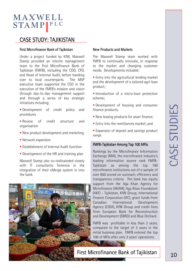### CASE STUDY: TAJIKISTAN

#### First Microfinance Bank of Tajikistan

Under a project funded by KfW, Maxwell Stamp provided an interim management team to the First Microfinance Bank of Tajikistan (FMFB), including the COO, CFO, and Head of Internal Audit, before handing over to local counterparts. The MSP executive team supported the CEO in the execution of the FMFB's mission and vision through day-to-day management support and through a series of key strategic initiatives including:

- **Development** of credit policy and procedures
- **Review** of credit structure and organisation
- New product development and marketing
- **Network expansion**
- **Establishment of Internal Audit function**
- **Development of the HR and training plan**

Maxwell Stamp also co-ordinateded closely with IT consultants Temenos in the integration of their eMerge system in into the bank.

#### New Products and Markets

The Maxwell Stamp team worked with FMFB to continually innovate, in response to the market and changing customer needs. Developments included:

 $\blacksquare$  Entry into the agricultural lending market and the development of a tailored agri-loan product;

Introduction of a micro-loan protection scheme;

**Development of housing and consumer** finance products;

- **New leasing products for asset finance;**
- **Entry into the remittances market; and**

**Expansion of deposit and savings product** range.

#### FMFB-Tajikistan Among Top 100 MFIs

Rankings by the Microfinance Information Exchange (MIX), the microfinance industry's leading information source rank FMFB-Tajikistan as among the top 100 microfinance institutions out of a sample of over 650 scored on outreach, efficiency and transparency criteria. The bank has equity support from the Aga Khan Agency for Microfinance (AKAM), Aga Khan Foundation (AKF) - Tajikistan, KfW Group, International Finance Corporation (IFC), grant funds from Canadian International Development Agency (CIDA), KfW Group and credit lines from European Bank for Reconstruction and Development (EBRD) and Blue Orchard.

FMFB was profitable in less than 2 years, compared to the target of 3 years in the initial business plan. FMFB entered the top 100 of MFIs after only 3 years' operations.

### First Microfinance Bank of Tajikistan | 10